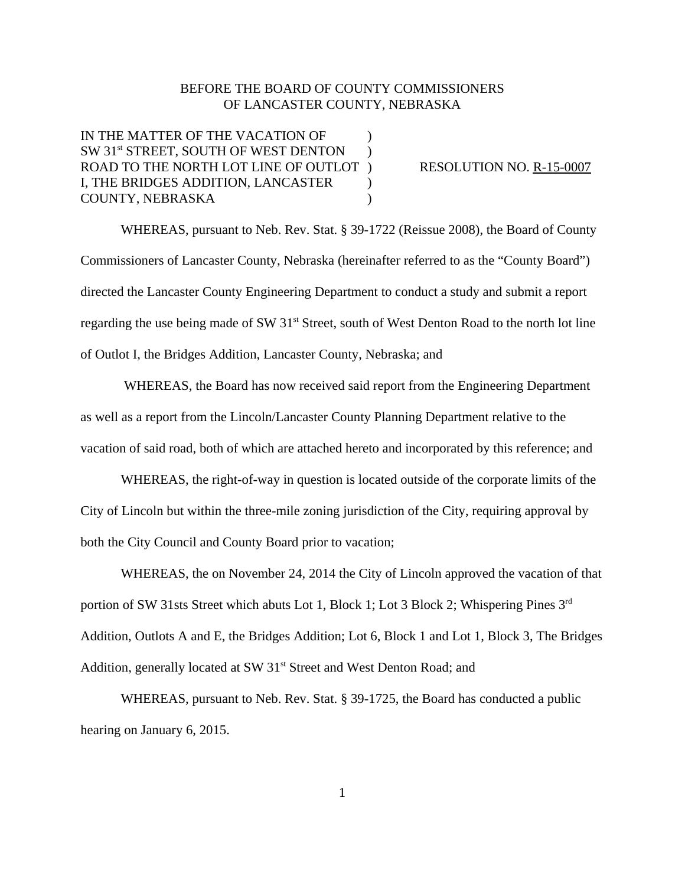## BEFORE THE BOARD OF COUNTY COMMISSIONERS OF LANCASTER COUNTY, NEBRASKA

IN THE MATTER OF THE VACATION OF  $\qquad\qquad$  ) SW 31<sup>st</sup> STREET, SOUTH OF WEST DENTON ) ROAD TO THE NORTH LOT LINE OF OUTLOT ) RESOLUTION NO. R-15-0007 I, THE BRIDGES ADDITION, LANCASTER ) COUNTY, NEBRASKA )

WHEREAS, pursuant to Neb. Rev. Stat. § 39-1722 (Reissue 2008), the Board of County Commissioners of Lancaster County, Nebraska (hereinafter referred to as the "County Board") directed the Lancaster County Engineering Department to conduct a study and submit a report regarding the use being made of SW 31<sup>st</sup> Street, south of West Denton Road to the north lot line of Outlot I, the Bridges Addition, Lancaster County, Nebraska; and

 WHEREAS, the Board has now received said report from the Engineering Department as well as a report from the Lincoln/Lancaster County Planning Department relative to the vacation of said road, both of which are attached hereto and incorporated by this reference; and

WHEREAS, the right-of-way in question is located outside of the corporate limits of the City of Lincoln but within the three-mile zoning jurisdiction of the City, requiring approval by both the City Council and County Board prior to vacation;

WHEREAS, the on November 24, 2014 the City of Lincoln approved the vacation of that portion of SW 31sts Street which abuts Lot 1, Block 1; Lot 3 Block 2; Whispering Pines 3<sup>rd</sup> Addition, Outlots A and E, the Bridges Addition; Lot 6, Block 1 and Lot 1, Block 3, The Bridges Addition, generally located at SW 31<sup>st</sup> Street and West Denton Road; and

WHEREAS, pursuant to Neb. Rev. Stat. § 39-1725, the Board has conducted a public hearing on January 6, 2015.